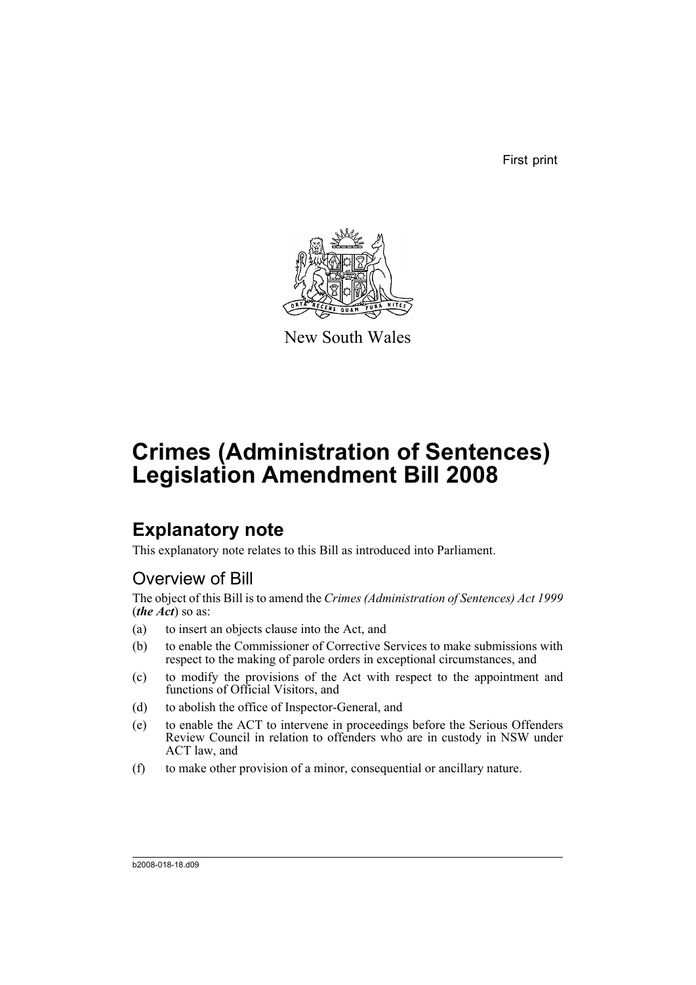First print



New South Wales

# **Crimes (Administration of Sentences) Legislation Amendment Bill 2008**

## **Explanatory note**

This explanatory note relates to this Bill as introduced into Parliament.

## Overview of Bill

The object of this Bill is to amend the *Crimes (Administration of Sentences) Act 1999* (*the Act*) so as:

- (a) to insert an objects clause into the Act, and
- (b) to enable the Commissioner of Corrective Services to make submissions with respect to the making of parole orders in exceptional circumstances, and
- (c) to modify the provisions of the Act with respect to the appointment and functions of Official Visitors, and
- (d) to abolish the office of Inspector-General, and
- (e) to enable the ACT to intervene in proceedings before the Serious Offenders Review Council in relation to offenders who are in custody in NSW under ACT law, and
- (f) to make other provision of a minor, consequential or ancillary nature.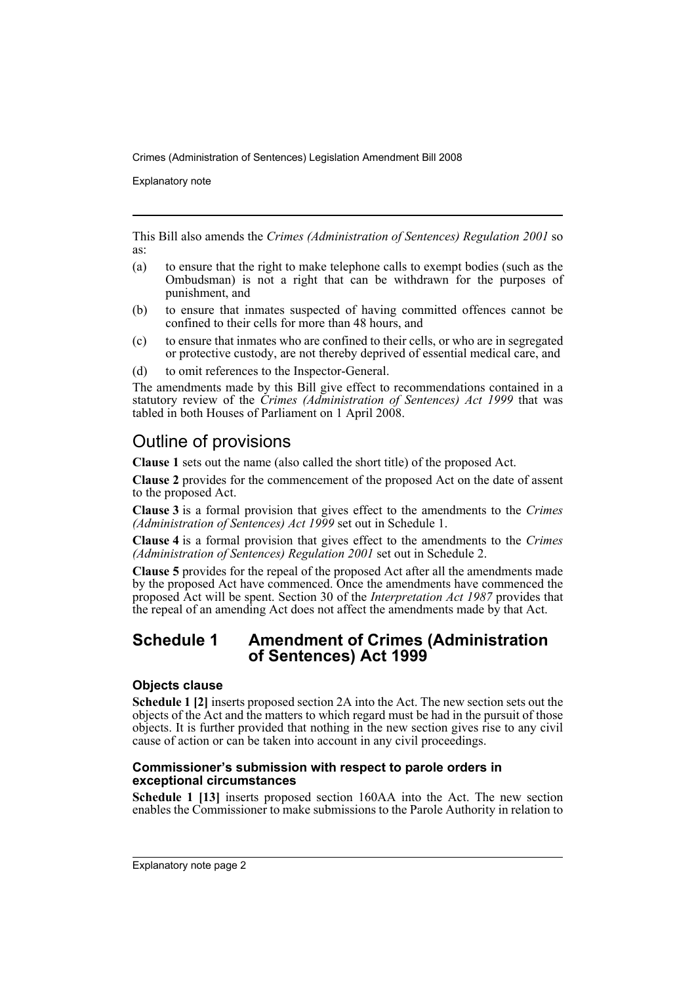Explanatory note

This Bill also amends the *Crimes (Administration of Sentences) Regulation 2001* so as:

- (a) to ensure that the right to make telephone calls to exempt bodies (such as the Ombudsman) is not a right that can be withdrawn for the purposes of punishment, and
- (b) to ensure that inmates suspected of having committed offences cannot be confined to their cells for more than 48 hours, and
- (c) to ensure that inmates who are confined to their cells, or who are in segregated or protective custody, are not thereby deprived of essential medical care, and
- (d) to omit references to the Inspector-General.

The amendments made by this Bill give effect to recommendations contained in a statutory review of the *Crimes (Administration of Sentences) Act 1999* that was tabled in both Houses of Parliament on 1 April 2008.

## Outline of provisions

**Clause 1** sets out the name (also called the short title) of the proposed Act.

**Clause 2** provides for the commencement of the proposed Act on the date of assent to the proposed Act.

**Clause 3** is a formal provision that gives effect to the amendments to the *Crimes (Administration of Sentences) Act 1999* set out in Schedule 1.

**Clause 4** is a formal provision that gives effect to the amendments to the *Crimes (Administration of Sentences) Regulation 2001* set out in Schedule 2.

**Clause 5** provides for the repeal of the proposed Act after all the amendments made by the proposed Act have commenced. Once the amendments have commenced the proposed Act will be spent. Section 30 of the *Interpretation Act 1987* provides that the repeal of an amending Act does not affect the amendments made by that Act.

### **Schedule 1 Amendment of Crimes (Administration of Sentences) Act 1999**

#### **Objects clause**

**Schedule 1 [2]** inserts proposed section 2A into the Act. The new section sets out the objects of the Act and the matters to which regard must be had in the pursuit of those objects. It is further provided that nothing in the new section gives rise to any civil cause of action or can be taken into account in any civil proceedings.

#### **Commissioner's submission with respect to parole orders in exceptional circumstances**

**Schedule 1 [13]** inserts proposed section 160AA into the Act. The new section enables the Commissioner to make submissions to the Parole Authority in relation to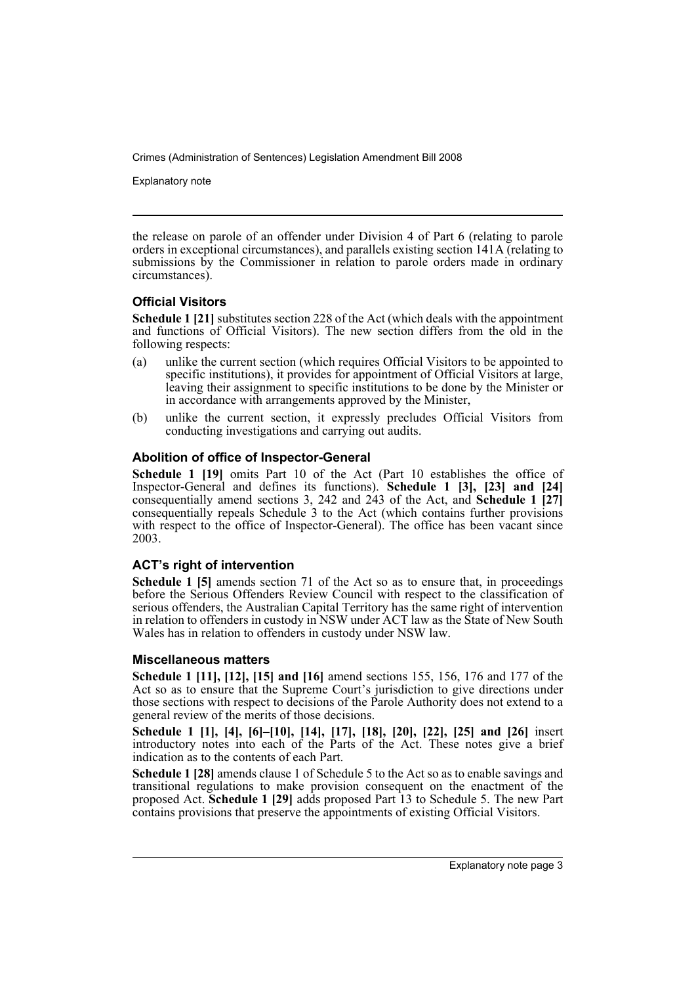Explanatory note

the release on parole of an offender under Division 4 of Part 6 (relating to parole orders in exceptional circumstances), and parallels existing section 141A (relating to submissions by the Commissioner in relation to parole orders made in ordinary circumstances).

### **Official Visitors**

**Schedule 1 [21]** substitutes section 228 of the Act (which deals with the appointment and functions of Official Visitors). The new section differs from the old in the following respects:

- (a) unlike the current section (which requires Official Visitors to be appointed to specific institutions), it provides for appointment of Official Visitors at large, leaving their assignment to specific institutions to be done by the Minister or in accordance with arrangements approved by the Minister,
- (b) unlike the current section, it expressly precludes Official Visitors from conducting investigations and carrying out audits.

### **Abolition of office of Inspector-General**

**Schedule 1 [19]** omits Part 10 of the Act (Part 10 establishes the office of Inspector-General and defines its functions). **Schedule 1 [3], [23] and [24]** consequentially amend sections 3, 242 and 243 of the Act, and **Schedule 1 [27]** consequentially repeals Schedule 3 to the Act (which contains further provisions with respect to the office of Inspector-General). The office has been vacant since 2003.

### **ACT's right of intervention**

**Schedule 1 [5]** amends section 71 of the Act so as to ensure that, in proceedings before the Serious Offenders Review Council with respect to the classification of serious offenders, the Australian Capital Territory has the same right of intervention in relation to offenders in custody in NSW under ACT law as the State of New South Wales has in relation to offenders in custody under NSW law.

#### **Miscellaneous matters**

**Schedule 1 [11], [12], [15] and [16]** amend sections 155, 156, 176 and 177 of the Act so as to ensure that the Supreme Court's jurisdiction to give directions under those sections with respect to decisions of the Parole Authority does not extend to a general review of the merits of those decisions.

**Schedule 1 [1], [4], [6]–[10], [14], [17], [18], [20], [22], [25] and [26]** insert introductory notes into each of the Parts of the Act. These notes give a brief indication as to the contents of each Part.

**Schedule 1 [28]** amends clause 1 of Schedule 5 to the Act so as to enable savings and transitional regulations to make provision consequent on the enactment of the proposed Act. **Schedule 1 [29]** adds proposed Part 13 to Schedule 5. The new Part contains provisions that preserve the appointments of existing Official Visitors.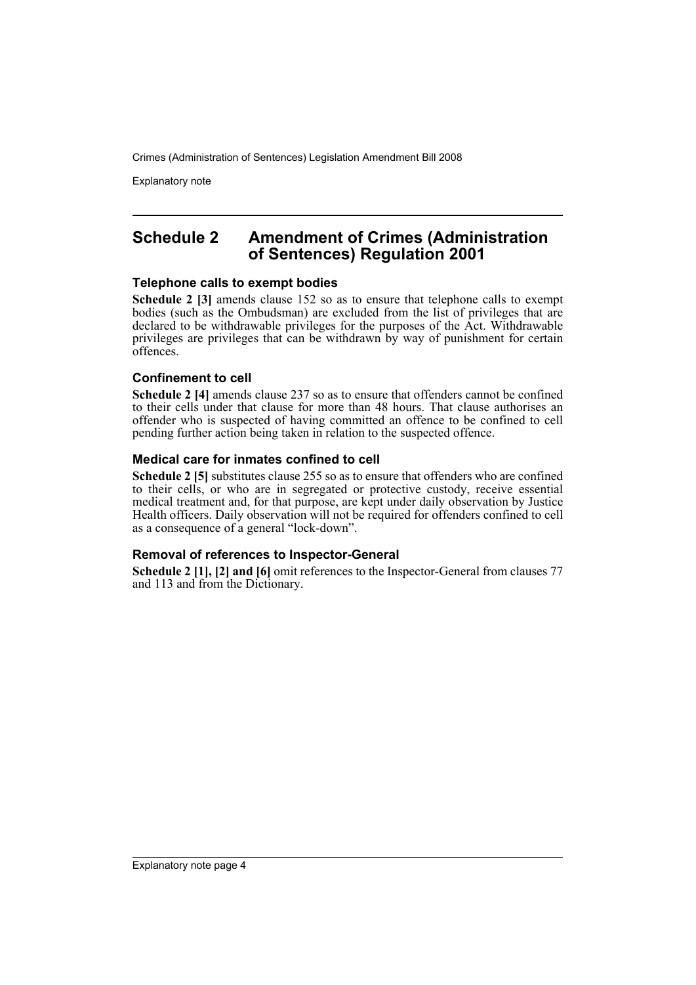Explanatory note

### **Schedule 2 Amendment of Crimes (Administration of Sentences) Regulation 2001**

#### **Telephone calls to exempt bodies**

**Schedule 2 [3]** amends clause 152 so as to ensure that telephone calls to exempt bodies (such as the Ombudsman) are excluded from the list of privileges that are declared to be withdrawable privileges for the purposes of the Act. Withdrawable privileges are privileges that can be withdrawn by way of punishment for certain offences.

#### **Confinement to cell**

**Schedule 2 [4]** amends clause 237 so as to ensure that offenders cannot be confined to their cells under that clause for more than 48 hours. That clause authorises an offender who is suspected of having committed an offence to be confined to cell pending further action being taken in relation to the suspected offence.

#### **Medical care for inmates confined to cell**

**Schedule 2 [5]** substitutes clause 255 so as to ensure that offenders who are confined to their cells, or who are in segregated or protective custody, receive essential medical treatment and, for that purpose, are kept under daily observation by Justice Health officers. Daily observation will not be required for offenders confined to cell as a consequence of a general "lock-down".

### **Removal of references to Inspector-General**

**Schedule 2 [1], [2] and [6]** omit references to the Inspector-General from clauses 77 and 113 and from the Dictionary.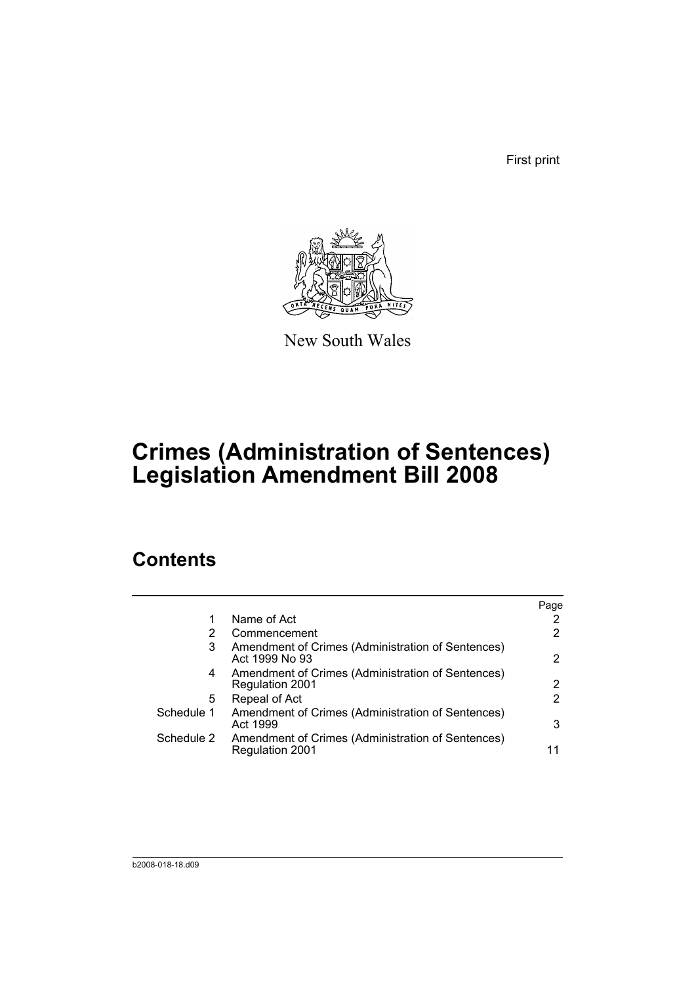First print



New South Wales

## **Crimes (Administration of Sentences) Legislation Amendment Bill 2008**

## **Contents**

|                                                                             | Page |
|-----------------------------------------------------------------------------|------|
| Name of Act                                                                 |      |
| Commencement                                                                | 2    |
| Amendment of Crimes (Administration of Sentences)<br>Act 1999 No 93         | 2    |
| Amendment of Crimes (Administration of Sentences)<br>Regulation 2001        | 2    |
| Repeal of Act                                                               | 2    |
| Amendment of Crimes (Administration of Sentences)<br>Act 1999               | 3    |
| Amendment of Crimes (Administration of Sentences)<br><b>Regulation 2001</b> | 11   |
|                                                                             |      |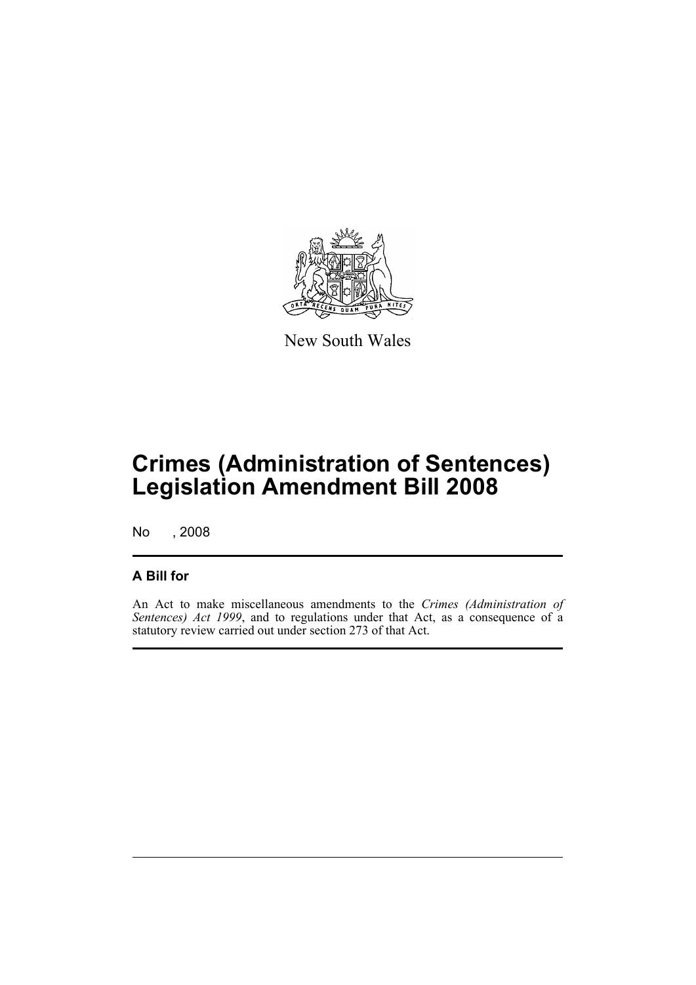

New South Wales

## **Crimes (Administration of Sentences) Legislation Amendment Bill 2008**

No , 2008

### **A Bill for**

An Act to make miscellaneous amendments to the *Crimes (Administration of Sentences) Act 1999*, and to regulations under that Act, as a consequence of a statutory review carried out under section 273 of that Act.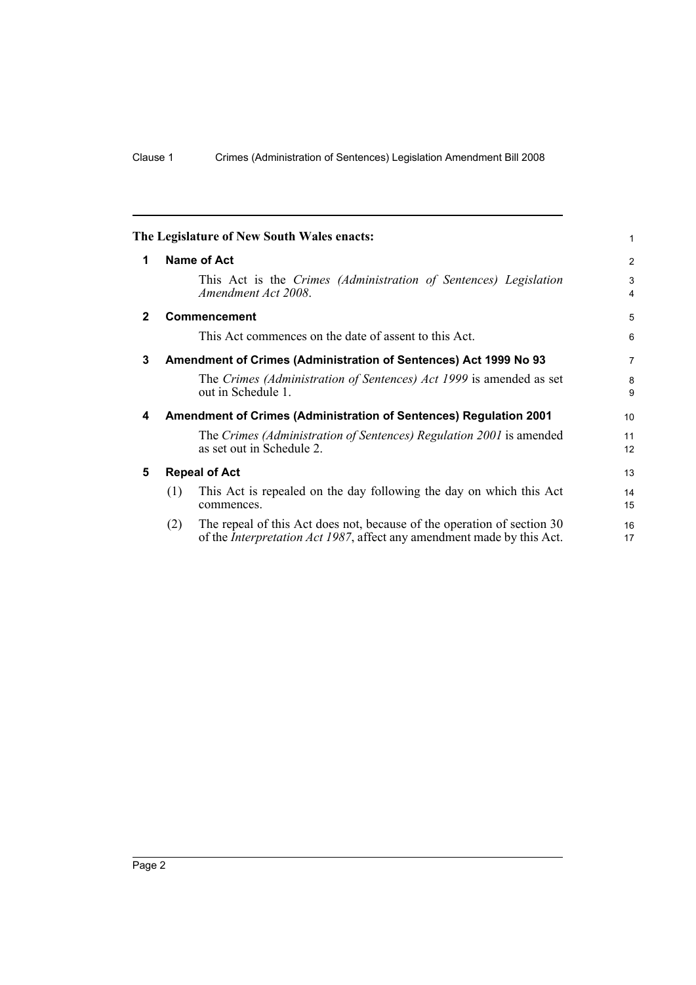<span id="page-7-4"></span><span id="page-7-3"></span><span id="page-7-2"></span><span id="page-7-1"></span><span id="page-7-0"></span>

|              |             | The Legislature of New South Wales enacts:                                                                                                                | 1                   |  |  |  |  |
|--------------|-------------|-----------------------------------------------------------------------------------------------------------------------------------------------------------|---------------------|--|--|--|--|
| 1            | Name of Act |                                                                                                                                                           |                     |  |  |  |  |
|              |             | This Act is the Crimes (Administration of Sentences) Legislation<br>Amendment Act 2008.                                                                   | 3<br>$\overline{4}$ |  |  |  |  |
| $\mathbf{2}$ |             | <b>Commencement</b>                                                                                                                                       | 5                   |  |  |  |  |
|              |             | This Act commences on the date of assent to this Act.                                                                                                     | 6                   |  |  |  |  |
| 3            |             | Amendment of Crimes (Administration of Sentences) Act 1999 No 93                                                                                          | $\overline{7}$      |  |  |  |  |
|              |             | The Crimes (Administration of Sentences) Act 1999 is amended as set<br>out in Schedule 1.                                                                 | 8<br>9              |  |  |  |  |
| 4            |             | Amendment of Crimes (Administration of Sentences) Regulation 2001                                                                                         | 10                  |  |  |  |  |
|              |             | The Crimes (Administration of Sentences) Regulation 2001 is amended<br>as set out in Schedule 2.                                                          | 11<br>12            |  |  |  |  |
| 5            |             | <b>Repeal of Act</b>                                                                                                                                      | 13                  |  |  |  |  |
|              | (1)         | This Act is repealed on the day following the day on which this Act<br>commences.                                                                         | 14<br>15            |  |  |  |  |
|              | (2)         | The repeal of this Act does not, because of the operation of section 30<br>of the <i>Interpretation Act 1987</i> , affect any amendment made by this Act. | 16<br>17            |  |  |  |  |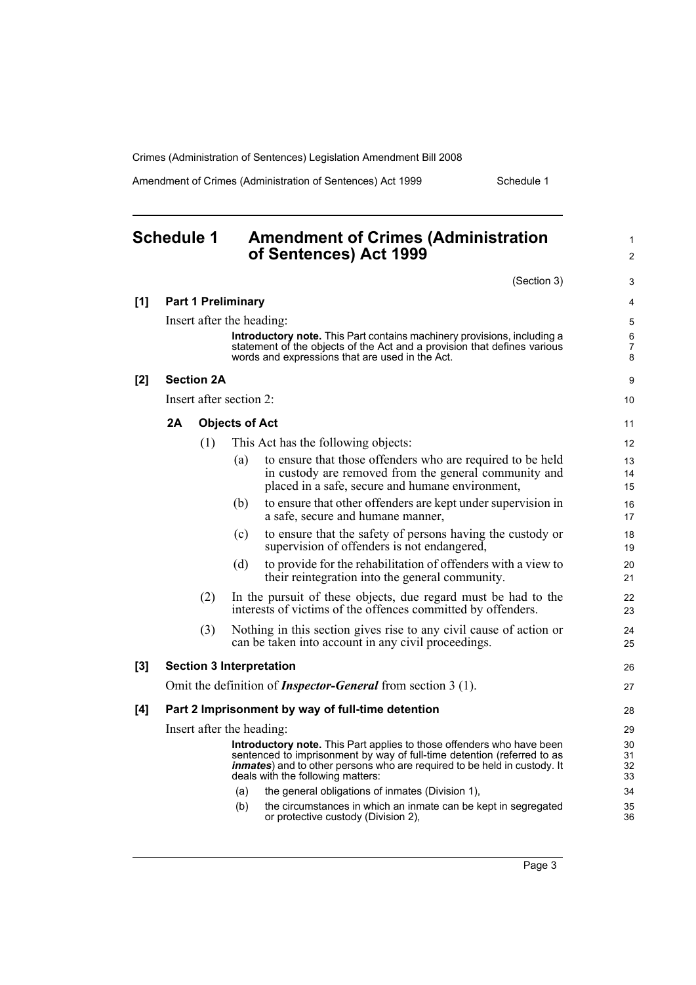**Schedule 1 Amendment of Crimes (Administration** 

Amendment of Crimes (Administration of Sentences) Act 1999 Schedule 1

1

<span id="page-8-0"></span>

| of Sentences) Act 1999                                                                                                                                                                                                                                                    |     |
|---------------------------------------------------------------------------------------------------------------------------------------------------------------------------------------------------------------------------------------------------------------------------|-----|
| (Section 3)                                                                                                                                                                                                                                                               |     |
| <b>Part 1 Preliminary</b>                                                                                                                                                                                                                                                 | [1] |
| Insert after the heading:<br>Introductory note. This Part contains machinery provisions, including a<br>statement of the objects of the Act and a provision that defines various<br>words and expressions that are used in the Act.                                       |     |
| <b>Section 2A</b>                                                                                                                                                                                                                                                         | [2] |
| Insert after section 2:                                                                                                                                                                                                                                                   |     |
| <b>Objects of Act</b>                                                                                                                                                                                                                                                     |     |
| (1)<br>This Act has the following objects:                                                                                                                                                                                                                                |     |
| to ensure that those offenders who are required to be held<br>(a)<br>in custody are removed from the general community and<br>placed in a safe, secure and humane environment,                                                                                            |     |
| to ensure that other offenders are kept under supervision in<br>(b)<br>a safe, secure and humane manner,                                                                                                                                                                  |     |
| to ensure that the safety of persons having the custody or<br>(c)<br>supervision of offenders is not endangered,                                                                                                                                                          |     |
| to provide for the rehabilitation of offenders with a view to<br>(d)<br>their reintegration into the general community.                                                                                                                                                   |     |
| (2)<br>In the pursuit of these objects, due regard must be had to the<br>interests of victims of the offences committed by offenders.                                                                                                                                     |     |
| (3)<br>Nothing in this section gives rise to any civil cause of action or<br>can be taken into account in any civil proceedings.                                                                                                                                          |     |
| <b>Section 3 Interpretation</b>                                                                                                                                                                                                                                           | [3] |
| Omit the definition of <i>Inspector-General</i> from section 3 (1).                                                                                                                                                                                                       |     |
| Part 2 Imprisonment by way of full-time detention                                                                                                                                                                                                                         | [4] |
| Insert after the heading:                                                                                                                                                                                                                                                 |     |
| Introductory note. This Part applies to those offenders who have been<br>sentenced to imprisonment by way of full-time detention (referred to as<br><i>inmates</i> ) and to other persons who are required to be held in custody. It<br>deals with the following matters: |     |
| the general obligations of inmates (Division 1),<br>(a)                                                                                                                                                                                                                   |     |
| (b)<br>the circumstances in which an inmate can be kept in segregated<br>or protective custody (Division 2),                                                                                                                                                              |     |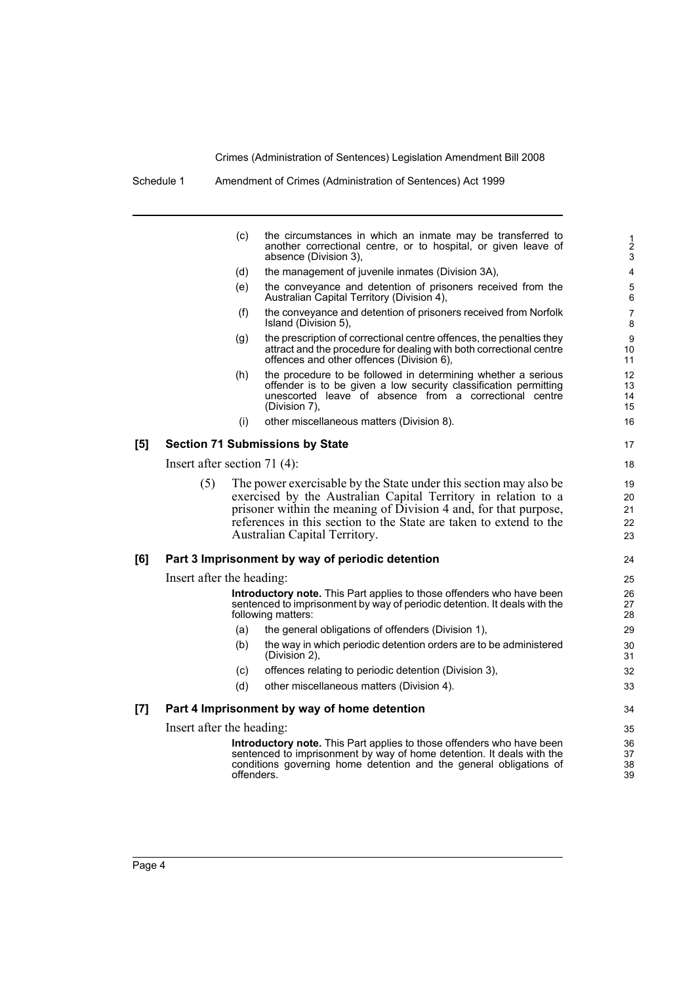| (c) | the circumstances in which an inmate may be transferred to<br>another correctional centre, or to hospital, or given leave of<br>absence (Division 3). |
|-----|-------------------------------------------------------------------------------------------------------------------------------------------------------|
| (d) | the management of juvenile inmates (Division 3A).                                                                                                     |
| (e) | the conveyance and detention of prisoners received from the<br>Australian Capital Territory (Division 4).                                             |
| (f) | the conveyance and detention of prisoners received from Norfolk<br>Island (Division 5).                                                               |
| (q) | the prescription of correctional centre offences, the penalties they<br>attract and the procedure for dealing with both correctional centre           |

Schedule 1 Amendment of Crimes (Administration of Sentences) Act 1999

offences and other offences (Division 6), (h) the procedure to be followed in determining whether a serious offender is to be given a low security classification permitting unescorted leave of absence from a correctional centre (Division 7),

(i) other miscellaneous matters (Division 8).

#### **[5] Section 71 Submissions by State**

Insert after section 71 (4):

(5) The power exercisable by the State under this section may also be exercised by the Australian Capital Territory in relation to a prisoner within the meaning of Division 4 and, for that purpose, references in this section to the State are taken to extend to the Australian Capital Territory.

#### **[6] Part 3 Imprisonment by way of periodic detention**

Insert after the heading:

**Introductory note.** This Part applies to those offenders who have been sentenced to imprisonment by way of periodic detention. It deals with the following matters:

- (a) the general obligations of offenders (Division 1),
- (b) the way in which periodic detention orders are to be administered (Division 2),
- (c) offences relating to periodic detention (Division 3),
- (d) other miscellaneous matters (Division 4).

#### **[7] Part 4 Imprisonment by way of home detention**

Insert after the heading:

**Introductory note.** This Part applies to those offenders who have been sentenced to imprisonment by way of home detention. It deals with the conditions governing home detention and the general obligations of offenders.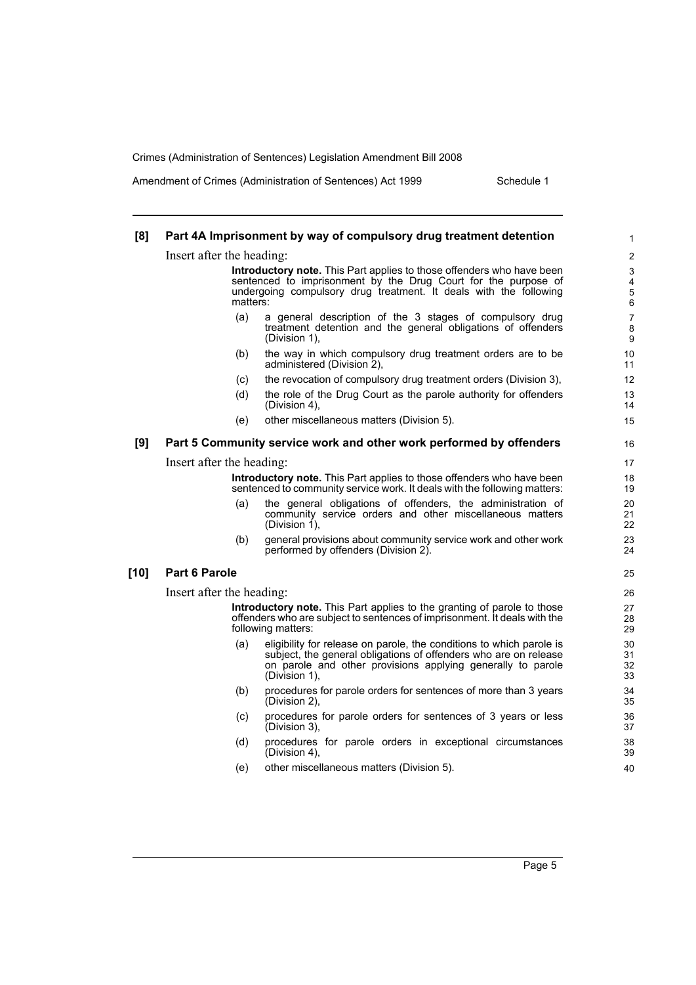Amendment of Crimes (Administration of Sentences) Act 1999 Schedule 1

| [8]    |                                                                                                                                                                                                                                 | Part 4A Imprisonment by way of compulsory drug treatment detention                                                                                                                                                       | 1                        |  |  |  |
|--------|---------------------------------------------------------------------------------------------------------------------------------------------------------------------------------------------------------------------------------|--------------------------------------------------------------------------------------------------------------------------------------------------------------------------------------------------------------------------|--------------------------|--|--|--|
|        | Insert after the heading:                                                                                                                                                                                                       |                                                                                                                                                                                                                          | 2                        |  |  |  |
|        | <b>Introductory note.</b> This Part applies to those offenders who have been<br>sentenced to imprisonment by the Drug Court for the purpose of<br>undergoing compulsory drug treatment. It deals with the following<br>matters: |                                                                                                                                                                                                                          |                          |  |  |  |
|        | (a)                                                                                                                                                                                                                             | a general description of the 3 stages of compulsory drug<br>treatment detention and the general obligations of offenders<br>(Division 1),                                                                                | $\overline{7}$<br>8<br>9 |  |  |  |
|        | (b)                                                                                                                                                                                                                             | the way in which compulsory drug treatment orders are to be<br>administered (Division 2),                                                                                                                                | 10<br>11                 |  |  |  |
|        | (C)                                                                                                                                                                                                                             | the revocation of compulsory drug treatment orders (Division 3),                                                                                                                                                         | 12                       |  |  |  |
|        | (d)                                                                                                                                                                                                                             | the role of the Drug Court as the parole authority for offenders<br>(Division 4),                                                                                                                                        | 13<br>14                 |  |  |  |
|        | (e)                                                                                                                                                                                                                             | other miscellaneous matters (Division 5).                                                                                                                                                                                | 15                       |  |  |  |
| [9]    |                                                                                                                                                                                                                                 | Part 5 Community service work and other work performed by offenders                                                                                                                                                      | 16                       |  |  |  |
|        | Insert after the heading:                                                                                                                                                                                                       |                                                                                                                                                                                                                          |                          |  |  |  |
|        | Introductory note. This Part applies to those offenders who have been<br>sentenced to community service work. It deals with the following matters:                                                                              |                                                                                                                                                                                                                          |                          |  |  |  |
|        | (a)                                                                                                                                                                                                                             | the general obligations of offenders, the administration of<br>community service orders and other miscellaneous matters<br>(Division 1).                                                                                 | 20<br>21<br>22           |  |  |  |
|        | (b)                                                                                                                                                                                                                             | general provisions about community service work and other work<br>performed by offenders (Division 2).                                                                                                                   | 23<br>24                 |  |  |  |
| $[10]$ | Part 6 Parole                                                                                                                                                                                                                   |                                                                                                                                                                                                                          | 25                       |  |  |  |
|        | Insert after the heading:                                                                                                                                                                                                       |                                                                                                                                                                                                                          | 26                       |  |  |  |
|        | Introductory note. This Part applies to the granting of parole to those<br>offenders who are subject to sentences of imprisonment. It deals with the<br>following matters:                                                      |                                                                                                                                                                                                                          |                          |  |  |  |
|        | (a)                                                                                                                                                                                                                             | eligibility for release on parole, the conditions to which parole is<br>subject, the general obligations of offenders who are on release<br>on parole and other provisions applying generally to parole<br>(Division 1). | 30<br>31<br>32<br>33     |  |  |  |
|        | (b)                                                                                                                                                                                                                             | procedures for parole orders for sentences of more than 3 years<br>(Division 2),                                                                                                                                         | 34<br>35                 |  |  |  |
|        | (c)                                                                                                                                                                                                                             | procedures for parole orders for sentences of 3 years or less<br>(Division 3),                                                                                                                                           | 36<br>37                 |  |  |  |
|        | (d)                                                                                                                                                                                                                             | procedures for parole orders in exceptional circumstances<br>(Division 4),                                                                                                                                               | 38<br>39                 |  |  |  |
|        | (e)                                                                                                                                                                                                                             | other miscellaneous matters (Division 5).                                                                                                                                                                                | 40                       |  |  |  |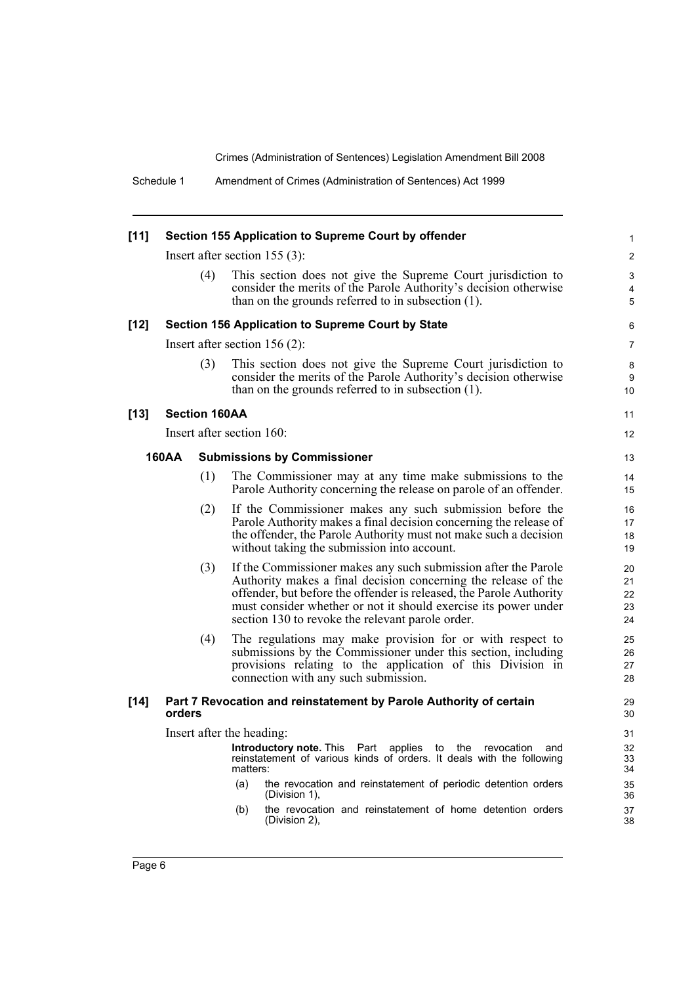Schedule 1 Amendment of Crimes (Administration of Sentences) Act 1999

| $[11]$ | Section 155 Application to Supreme Court by offender                                                                                                               |                           |     |                                                                                                                                                                                                                                                                                                                                |                            |  |
|--------|--------------------------------------------------------------------------------------------------------------------------------------------------------------------|---------------------------|-----|--------------------------------------------------------------------------------------------------------------------------------------------------------------------------------------------------------------------------------------------------------------------------------------------------------------------------------|----------------------------|--|
|        |                                                                                                                                                                    |                           |     | Insert after section $155(3)$ :                                                                                                                                                                                                                                                                                                | 2                          |  |
|        |                                                                                                                                                                    | (4)                       |     | This section does not give the Supreme Court jurisdiction to<br>consider the merits of the Parole Authority's decision otherwise<br>than on the grounds referred to in subsection $(1)$ .                                                                                                                                      | 3<br>$\overline{4}$<br>5   |  |
| $[12]$ |                                                                                                                                                                    |                           |     | Section 156 Application to Supreme Court by State                                                                                                                                                                                                                                                                              | 6                          |  |
|        |                                                                                                                                                                    |                           |     | Insert after section $156(2)$ :                                                                                                                                                                                                                                                                                                | 7                          |  |
|        |                                                                                                                                                                    | (3)                       |     | This section does not give the Supreme Court jurisdiction to<br>consider the merits of the Parole Authority's decision otherwise<br>than on the grounds referred to in subsection $(1)$ .                                                                                                                                      | 8<br>9<br>10               |  |
| $[13]$ |                                                                                                                                                                    | <b>Section 160AA</b>      |     |                                                                                                                                                                                                                                                                                                                                | 11                         |  |
|        |                                                                                                                                                                    | Insert after section 160: |     |                                                                                                                                                                                                                                                                                                                                | 12                         |  |
|        | <b>160AA</b>                                                                                                                                                       |                           |     | <b>Submissions by Commissioner</b>                                                                                                                                                                                                                                                                                             | 13                         |  |
|        |                                                                                                                                                                    | (1)                       |     | The Commissioner may at any time make submissions to the<br>Parole Authority concerning the release on parole of an offender.                                                                                                                                                                                                  | 14<br>15                   |  |
|        |                                                                                                                                                                    | (2)                       |     | If the Commissioner makes any such submission before the<br>Parole Authority makes a final decision concerning the release of<br>the offender, the Parole Authority must not make such a decision<br>without taking the submission into account.                                                                               | 16<br>17<br>18<br>19       |  |
|        |                                                                                                                                                                    | (3)                       |     | If the Commissioner makes any such submission after the Parole<br>Authority makes a final decision concerning the release of the<br>offender, but before the offender is released, the Parole Authority<br>must consider whether or not it should exercise its power under<br>section 130 to revoke the relevant parole order. | 20<br>21<br>22<br>23<br>24 |  |
|        |                                                                                                                                                                    | (4)                       |     | The regulations may make provision for or with respect to<br>submissions by the Commissioner under this section, including<br>provisions relating to the application of this Division in<br>connection with any such submission.                                                                                               | 25<br>26<br>27<br>28       |  |
| $[14]$ | orders                                                                                                                                                             |                           |     | Part 7 Revocation and reinstatement by Parole Authority of certain                                                                                                                                                                                                                                                             | 29<br>30                   |  |
|        |                                                                                                                                                                    | Insert after the heading: |     |                                                                                                                                                                                                                                                                                                                                | 31                         |  |
|        | <b>Introductory note. This Part</b><br>applies<br>to the<br>revocation<br>and<br>reinstatement of various kinds of orders. It deals with the following<br>matters: |                           |     |                                                                                                                                                                                                                                                                                                                                |                            |  |
|        |                                                                                                                                                                    |                           | (a) | the revocation and reinstatement of periodic detention orders<br>(Division 1),                                                                                                                                                                                                                                                 | 35<br>36                   |  |
|        |                                                                                                                                                                    |                           | (b) | the revocation and reinstatement of home detention orders<br>(Division 2),                                                                                                                                                                                                                                                     | 37<br>38                   |  |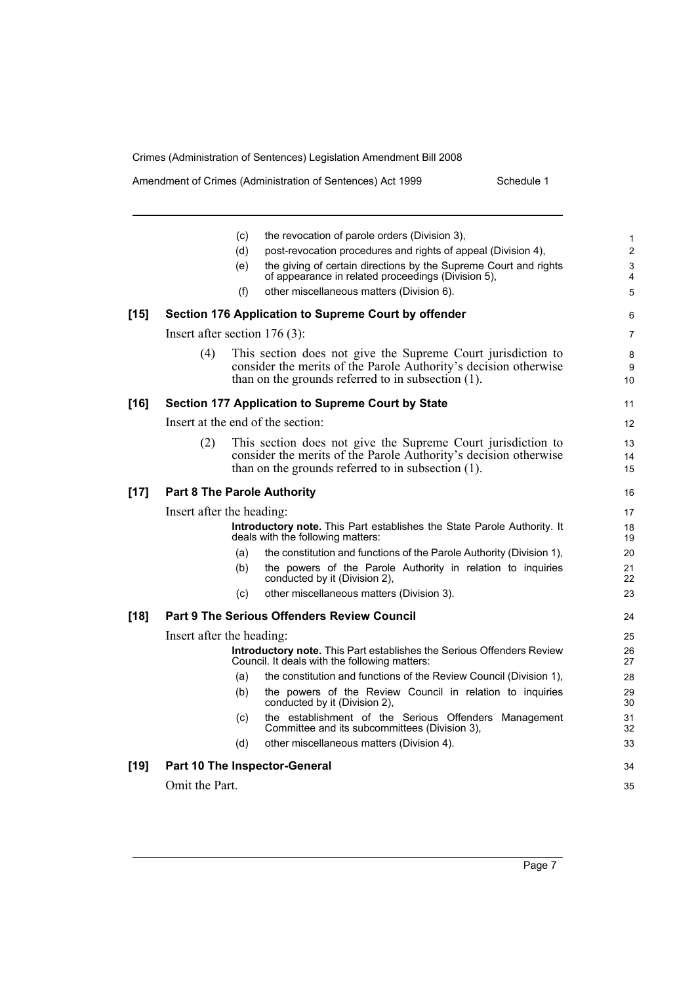|  | Amendment of Crimes (Administration of Sentences) Act 1999 |  |
|--|------------------------------------------------------------|--|
|--|------------------------------------------------------------|--|

Schedule 1

|        |                                 | (c)        | the revocation of parole orders (Division 3),                                                                                                                                             | 1                            |
|--------|---------------------------------|------------|-------------------------------------------------------------------------------------------------------------------------------------------------------------------------------------------|------------------------------|
|        |                                 | (d)<br>(e) | post-revocation procedures and rights of appeal (Division 4),<br>the giving of certain directions by the Supreme Court and rights                                                         | $\overline{\mathbf{c}}$<br>3 |
|        |                                 |            | of appearance in related proceedings (Division 5),                                                                                                                                        | 4                            |
|        |                                 | (f)        | other miscellaneous matters (Division 6).                                                                                                                                                 | 5                            |
| $[15]$ |                                 |            | Section 176 Application to Supreme Court by offender                                                                                                                                      | 6                            |
|        | Insert after section $176(3)$ : |            |                                                                                                                                                                                           | 7                            |
|        | (4)                             |            | This section does not give the Supreme Court jurisdiction to<br>consider the merits of the Parole Authority's decision otherwise<br>than on the grounds referred to in subsection $(1)$ . | 8<br>9<br>10                 |
| [16]   |                                 |            | Section 177 Application to Supreme Court by State                                                                                                                                         | 11                           |
|        |                                 |            | Insert at the end of the section:                                                                                                                                                         | 12                           |
|        | (2)                             |            | This section does not give the Supreme Court jurisdiction to<br>consider the merits of the Parole Authority's decision otherwise<br>than on the grounds referred to in subsection (1).    | 13<br>14<br>15               |
| [17]   |                                 |            | <b>Part 8 The Parole Authority</b>                                                                                                                                                        | 16                           |
|        | Insert after the heading:       |            |                                                                                                                                                                                           | 17                           |
|        |                                 |            | Introductory note. This Part establishes the State Parole Authority. It<br>deals with the following matters:                                                                              | 18<br>19                     |
|        |                                 | (a)        | the constitution and functions of the Parole Authority (Division 1),                                                                                                                      | 20                           |
|        |                                 | (b)        | the powers of the Parole Authority in relation to inquiries<br>conducted by it (Division 2),                                                                                              | 21<br>22                     |
|        |                                 | (c)        | other miscellaneous matters (Division 3).                                                                                                                                                 | 23                           |
| [18]   |                                 |            | <b>Part 9 The Serious Offenders Review Council</b>                                                                                                                                        | 24                           |
|        | Insert after the heading:       |            |                                                                                                                                                                                           | 25                           |
|        |                                 |            | Introductory note. This Part establishes the Serious Offenders Review<br>Council. It deals with the following matters:                                                                    | 26<br>27                     |
|        |                                 | (a)        | the constitution and functions of the Review Council (Division 1),                                                                                                                        | 28                           |
|        |                                 | (b)        | the powers of the Review Council in relation to inquiries<br>conducted by it (Division 2),                                                                                                | 29<br>30                     |
|        |                                 | (c)        | the establishment of the Serious Offenders Management<br>Committee and its subcommittees (Division 3),                                                                                    | 31<br>32                     |
|        |                                 | (d)        | other miscellaneous matters (Division 4).                                                                                                                                                 | 33                           |
| [19]   |                                 |            | Part 10 The Inspector-General                                                                                                                                                             | 34                           |
|        | Omit the Part.                  |            |                                                                                                                                                                                           | 35                           |
|        |                                 |            |                                                                                                                                                                                           |                              |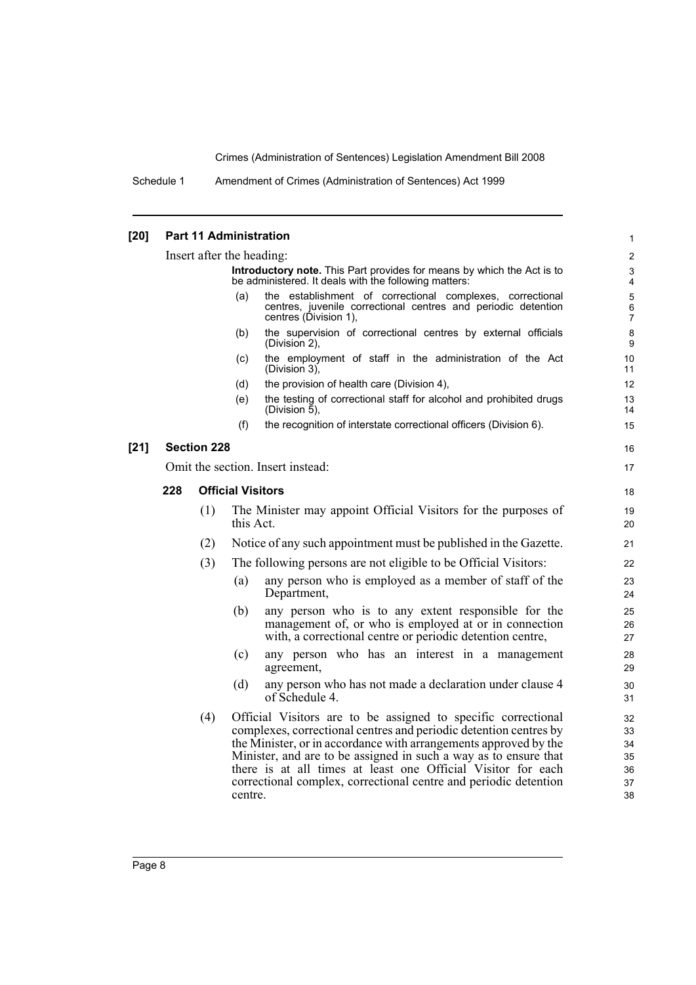Schedule 1 Amendment of Crimes (Administration of Sentences) Act 1999

#### **[20] Part 11 Administration** Insert after the heading: **Introductory note.** This Part provides for means by which the Act is to be administered. It deals with the following matters: (a) the establishment of correctional complexes, correctional centres, juvenile correctional centres and periodic detention centres (Division 1), (b) the supervision of correctional centres by external officials (Division 2), (c) the employment of staff in the administration of the Act (Division 3), (d) the provision of health care (Division 4), (e) the testing of correctional staff for alcohol and prohibited drugs (Division 5), (f) the recognition of interstate correctional officers (Division 6). **[21] Section 228** Omit the section. Insert instead: **228 Official Visitors** (1) The Minister may appoint Official Visitors for the purposes of this Act. (2) Notice of any such appointment must be published in the Gazette. (3) The following persons are not eligible to be Official Visitors: (a) any person who is employed as a member of staff of the Department, (b) any person who is to any extent responsible for the management of, or who is employed at or in connection with, a correctional centre or periodic detention centre, (c) any person who has an interest in a management agreement, (d) any person who has not made a declaration under clause 4 of Schedule 4. (4) Official Visitors are to be assigned to specific correctional complexes, correctional centres and periodic detention centres by the Minister, or in accordance with arrangements approved by the Minister, and are to be assigned in such a way as to ensure that there is at all times at least one Official Visitor for each correctional complex, correctional centre and periodic detention centre. 1 2 3 4 5 6 7 8 9 10 11 12 13 14 15 16 17 18 19  $20$ 21 22 23 24 25 26 27 28 29 30 31 32 33 34 35 36 37 38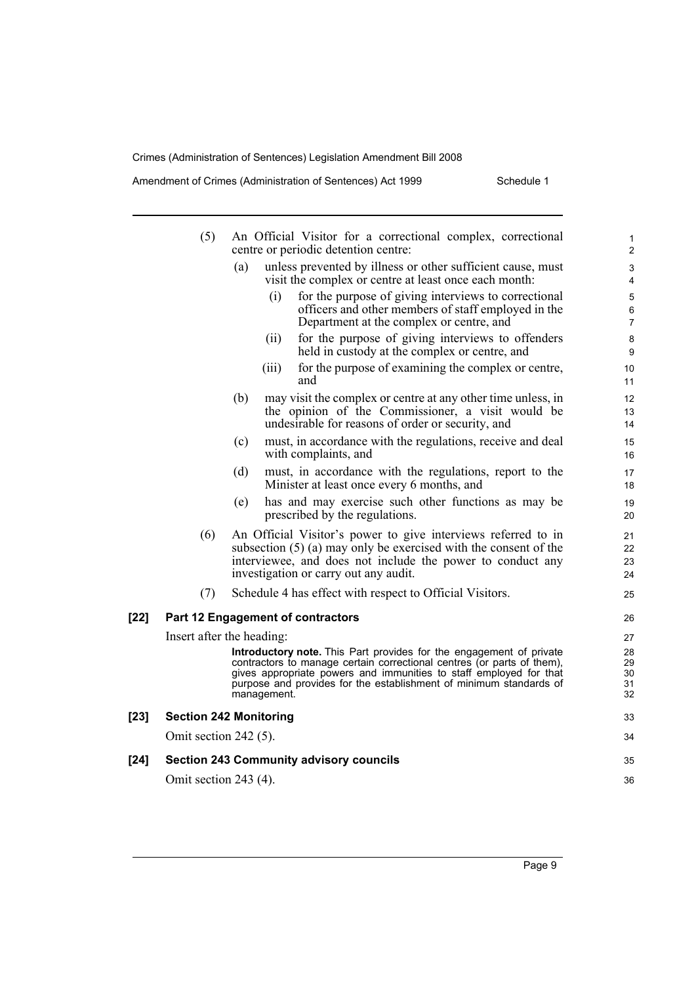Amendment of Crimes (Administration of Sentences) Act 1999 Schedule 1

|      | (5)                           |     |             | An Official Visitor for a correctional complex, correctional<br>centre or periodic detention centre:                                                                                                                                                                                      | $\mathbf{1}$<br>$\overline{2}$   |
|------|-------------------------------|-----|-------------|-------------------------------------------------------------------------------------------------------------------------------------------------------------------------------------------------------------------------------------------------------------------------------------------|----------------------------------|
|      |                               | (a) |             | unless prevented by illness or other sufficient cause, must<br>visit the complex or centre at least once each month:                                                                                                                                                                      | 3<br>4                           |
|      |                               |     | (i)         | for the purpose of giving interviews to correctional<br>officers and other members of staff employed in the<br>Department at the complex or centre, and                                                                                                                                   | 5<br>6<br>$\overline{7}$         |
|      |                               |     | (ii)        | for the purpose of giving interviews to offenders<br>held in custody at the complex or centre, and                                                                                                                                                                                        | 8<br>9                           |
|      |                               |     | (iii)       | for the purpose of examining the complex or centre,<br>and                                                                                                                                                                                                                                | 10<br>11                         |
|      |                               | (b) |             | may visit the complex or centre at any other time unless, in<br>the opinion of the Commissioner, a visit would be<br>undesirable for reasons of order or security, and                                                                                                                    | 12<br>13<br>14                   |
|      |                               | (c) |             | must, in accordance with the regulations, receive and deal<br>with complaints, and                                                                                                                                                                                                        | 15<br>16                         |
|      |                               | (d) |             | must, in accordance with the regulations, report to the<br>Minister at least once every 6 months, and                                                                                                                                                                                     | 17<br>18                         |
|      |                               | (e) |             | has and may exercise such other functions as may be<br>prescribed by the regulations.                                                                                                                                                                                                     | 19<br>20                         |
|      | (6)                           |     |             | An Official Visitor's power to give interviews referred to in<br>subsection $(5)$ (a) may only be exercised with the consent of the<br>interviewee, and does not include the power to conduct any<br>investigation or carry out any audit.                                                | 21<br>22<br>23<br>24             |
|      | (7)                           |     |             | Schedule 4 has effect with respect to Official Visitors.                                                                                                                                                                                                                                  | 25                               |
| [22] |                               |     |             | <b>Part 12 Engagement of contractors</b>                                                                                                                                                                                                                                                  | 26                               |
|      | Insert after the heading:     |     | management. | Introductory note. This Part provides for the engagement of private<br>contractors to manage certain correctional centres (or parts of them),<br>gives appropriate powers and immunities to staff employed for that<br>purpose and provides for the establishment of minimum standards of | 27<br>28<br>29<br>30<br>31<br>32 |
| [23] | <b>Section 242 Monitoring</b> |     |             |                                                                                                                                                                                                                                                                                           | 33                               |
|      | Omit section $242(5)$ .       |     |             |                                                                                                                                                                                                                                                                                           | 34                               |
| [24] |                               |     |             | <b>Section 243 Community advisory councils</b>                                                                                                                                                                                                                                            | 35                               |
|      | Omit section 243 (4).         |     |             |                                                                                                                                                                                                                                                                                           | 36                               |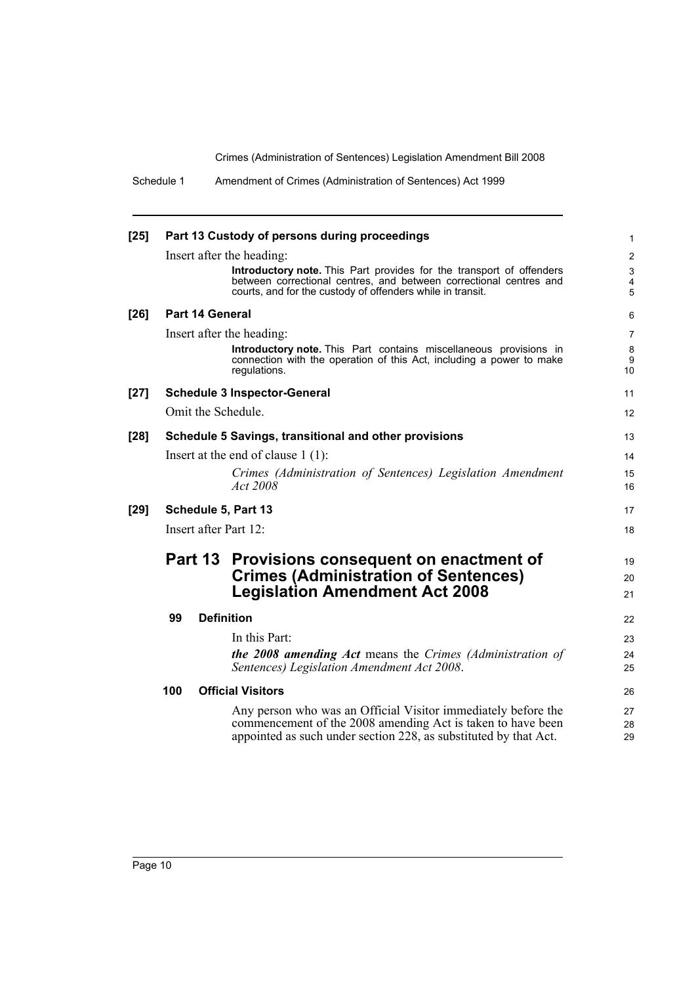| $[25]$ |     |                 | Part 13 Custody of persons during proceedings                                                                                                                                                            | $\mathbf{1}$                                |
|--------|-----|-----------------|----------------------------------------------------------------------------------------------------------------------------------------------------------------------------------------------------------|---------------------------------------------|
|        |     |                 | Insert after the heading:                                                                                                                                                                                | $\overline{2}$                              |
|        |     |                 | Introductory note. This Part provides for the transport of offenders<br>between correctional centres, and between correctional centres and<br>courts, and for the custody of offenders while in transit. | $\mathsf 3$<br>$\overline{\mathbf{4}}$<br>5 |
| $[26]$ |     | Part 14 General |                                                                                                                                                                                                          | 6                                           |
|        |     |                 | Insert after the heading:                                                                                                                                                                                | $\overline{7}$                              |
|        |     |                 | <b>Introductory note.</b> This Part contains miscellaneous provisions in<br>connection with the operation of this Act, including a power to make<br>regulations.                                         | 8<br>9<br>10                                |
| $[27]$ |     |                 | <b>Schedule 3 Inspector-General</b>                                                                                                                                                                      | 11                                          |
|        |     |                 | Omit the Schedule.                                                                                                                                                                                       | 12                                          |
| $[28]$ |     |                 | Schedule 5 Savings, transitional and other provisions                                                                                                                                                    | 13                                          |
|        |     |                 | Insert at the end of clause $1(1)$ :                                                                                                                                                                     | 14                                          |
|        |     |                 | Crimes (Administration of Sentences) Legislation Amendment<br>Act 2008                                                                                                                                   | 15<br>16                                    |
| $[29]$ |     |                 | Schedule 5, Part 13                                                                                                                                                                                      | 17                                          |
|        |     |                 | Insert after Part 12:                                                                                                                                                                                    | 18                                          |
|        |     |                 | Part 13 Provisions consequent on enactment of                                                                                                                                                            | 19                                          |
|        |     |                 | <b>Crimes (Administration of Sentences)</b>                                                                                                                                                              | 20                                          |
|        |     |                 | <b>Legislation Amendment Act 2008</b>                                                                                                                                                                    | 21                                          |
|        | 99  |                 | <b>Definition</b>                                                                                                                                                                                        | 22                                          |
|        |     |                 | In this Part:                                                                                                                                                                                            | 23                                          |
|        |     |                 | <b>the 2008 amending Act</b> means the Crimes (Administration of<br>Sentences) Legislation Amendment Act 2008.                                                                                           | 24<br>25                                    |
|        | 100 |                 | <b>Official Visitors</b>                                                                                                                                                                                 | 26                                          |
|        |     |                 | Any person who was an Official Visitor immediately before the<br>commencement of the 2008 amending Act is taken to have been<br>appointed as such under section 228, as substituted by that Act.         | 27<br>28<br>29                              |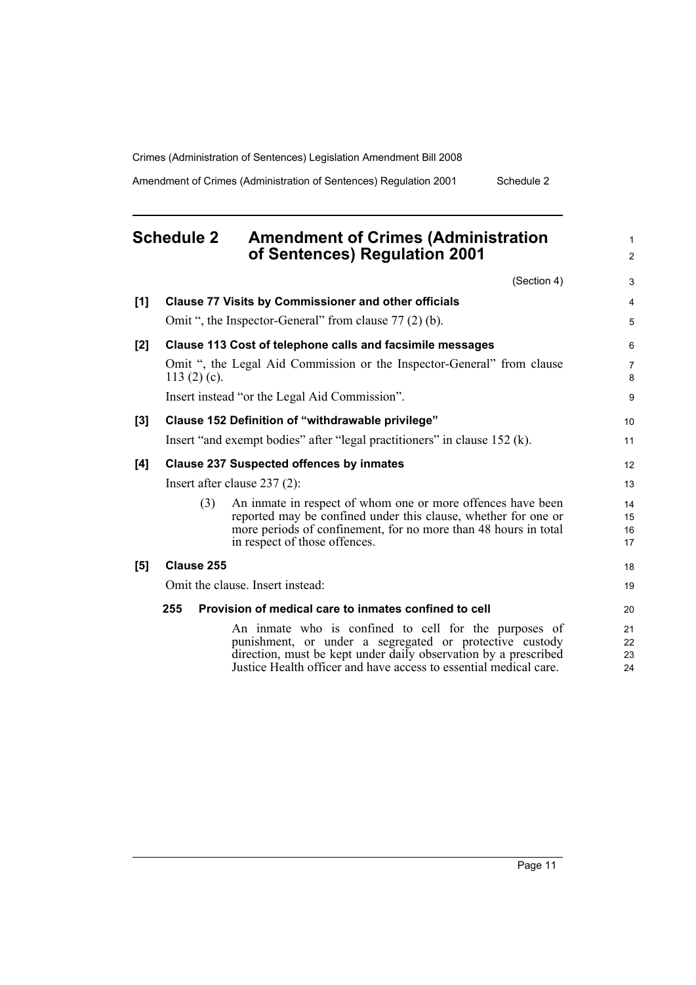Amendment of Crimes (Administration of Sentences) Regulation 2001 Schedule 2

### **Schedule 2 Amendment of Crimes (Administration of Sentences) Regulation 2001**

|     | (Section 4)                                                                                                                                                                                                                                              | 3                    |
|-----|----------------------------------------------------------------------------------------------------------------------------------------------------------------------------------------------------------------------------------------------------------|----------------------|
| [1] | <b>Clause 77 Visits by Commissioner and other officials</b>                                                                                                                                                                                              | 4                    |
|     | Omit ", the Inspector-General" from clause 77 (2) (b).                                                                                                                                                                                                   | 5                    |
| [2] | Clause 113 Cost of telephone calls and facsimile messages                                                                                                                                                                                                | 6                    |
|     | Omit ", the Legal Aid Commission or the Inspector-General" from clause<br>113 $(2)$ $(c)$ .                                                                                                                                                              | $\overline{7}$<br>8  |
|     | Insert instead "or the Legal Aid Commission".                                                                                                                                                                                                            | 9                    |
| [3] | Clause 152 Definition of "withdrawable privilege"                                                                                                                                                                                                        | 10                   |
|     | Insert "and exempt bodies" after "legal practitioners" in clause 152 (k).                                                                                                                                                                                | 11                   |
| [4] | <b>Clause 237 Suspected offences by inmates</b>                                                                                                                                                                                                          | 12                   |
|     | Insert after clause $237(2)$ :                                                                                                                                                                                                                           | 13                   |
|     | An inmate in respect of whom one or more offences have been<br>(3)<br>reported may be confined under this clause, whether for one or<br>more periods of confinement, for no more than 48 hours in total<br>in respect of those offences.                 | 14<br>15<br>16<br>17 |
| [5] | Clause 255                                                                                                                                                                                                                                               | 18                   |
|     | Omit the clause. Insert instead:                                                                                                                                                                                                                         | 19                   |
|     | 255<br>Provision of medical care to inmates confined to cell                                                                                                                                                                                             | 20                   |
|     | An inmate who is confined to cell for the purposes of<br>punishment, or under a segregated or protective custody<br>direction, must be kept under daily observation by a prescribed<br>Justice Health officer and have access to essential medical care. | 21<br>22<br>23<br>24 |
|     |                                                                                                                                                                                                                                                          |                      |

1 2